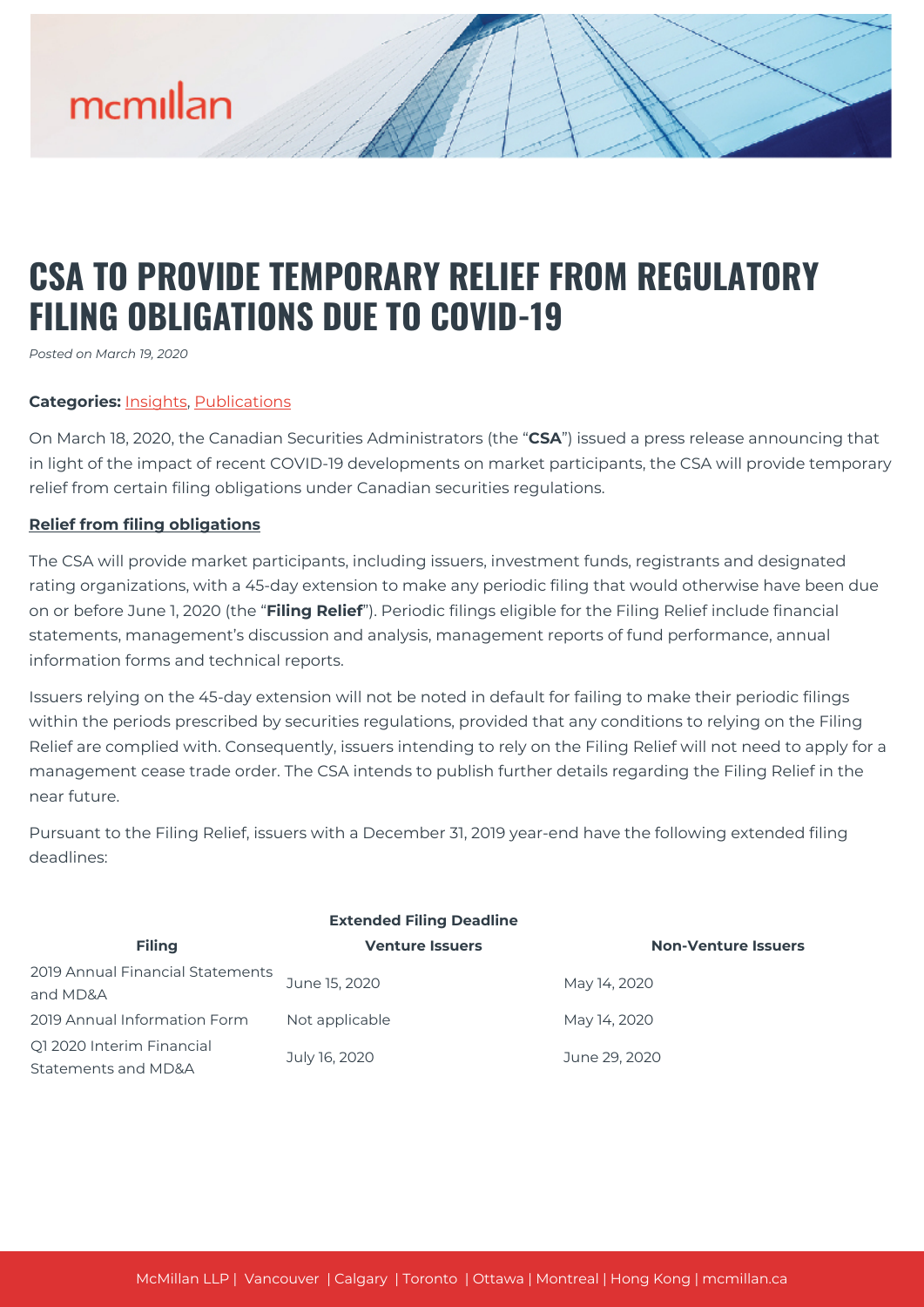# mcmillan

## **CSA TO PROVIDE TEMPORARY RELIEF FROM REGULATORY FILING OBLIGATIONS DUE TO COVID-19**

*Posted on March 19, 2020*

### **Categories:** [Insights,](https://mcmillan.ca/insights/) [Publications](https://mcmillan.ca/insights/publications/)

On March 18, 2020, the Canadian Securities Administrators (the "**CSA**") issued a press release announcing that in light of the impact of recent COVID-19 developments on market participants, the CSA will provide temporary relief from certain filing obligations under Canadian securities regulations.

### **Relief from filing obligations**

The CSA will provide market participants, including issuers, investment funds, registrants and designated rating organizations, with a 45-day extension to make any periodic filing that would otherwise have been due on or before June 1, 2020 (the "**Filing Relief**"). Periodic filings eligible for the Filing Relief include financial statements, management's discussion and analysis, management reports of fund performance, annual information forms and technical reports.

Issuers relying on the 45-day extension will not be noted in default for failing to make their periodic filings within the periods prescribed by securities regulations, provided that any conditions to relying on the Filing Relief are complied with. Consequently, issuers intending to rely on the Filing Relief will not need to apply for a management cease trade order. The CSA intends to publish further details regarding the Filing Relief in the near future.

Pursuant to the Filing Relief, issuers with a December 31, 2019 year-end have the following extended filing deadlines:

| <b>Extended Filing Deadline</b>                  |                        |                            |
|--------------------------------------------------|------------------------|----------------------------|
| <b>Filing</b>                                    | <b>Venture Issuers</b> | <b>Non-Venture Issuers</b> |
| 2019 Annual Financial Statements<br>and MD&A     | June 15, 2020          | May 14, 2020               |
| 2019 Annual Information Form                     | Not applicable         | May 14, 2020               |
| Q1 2020 Interim Financial<br>Statements and MD&A | July 16, 2020          | June 29, 2020              |